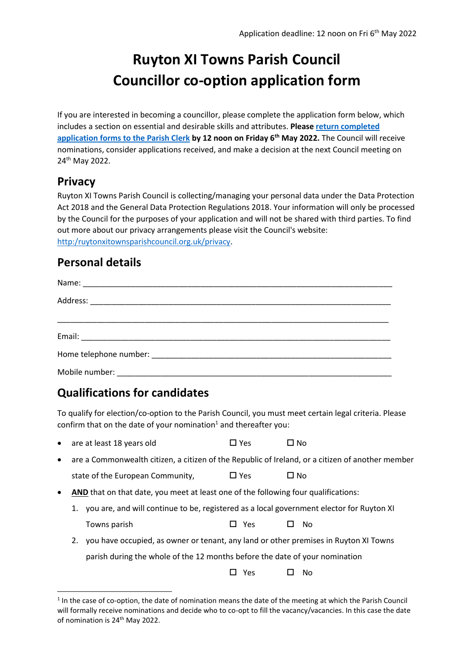# **Ruyton XI Towns Parish Council Councillor co-option application form**

If you are interested in becoming a councillor, please complete the application form below, which includes a section on essential and desirable skills and attributes. **Pleas[e return completed](mailto:parishclerk@ruytonxitownsparishcouncil.org.uk?subject=Councillor%20application)  [application forms to the Parish Clerk](mailto:parishclerk@ruytonxitownsparishcouncil.org.uk?subject=Councillor%20application) by 12 noon on Friday 6 th May 2022.** The Council will receive nominations, consider applications received, and make a decision at the next Council meeting on 24th May 2022.

# **Privacy**

Ruyton XI Towns Parish Council is collecting/managing your personal data under the Data Protection Act 2018 and the General Data Protection Regulations 2018. Your information will only be processed by the Council for the purposes of your application and will not be shared with third parties. To find out more about our privacy arrangements please visit the Council's website: [http:/ruytonxitownsparishcouncil.org.uk/privacy.](http://www.ruytonxitownsparishcouncil.org.uk/wp-content/uploads/2018/05/GDPR-Detailed-Privacy-Notice1.pdf)

#### **Personal details**

# **Qualifications for candidates**

To qualify for election/co-option to the Parish Council, you must meet certain legal criteria. Please confirm that on the date of your nomination<sup>1</sup> and thereafter you:

- are at least 18 years old  $\Box$  Yes  $\Box$  No
- are a Commonwealth citizen, a citizen of the Republic of Ireland, or a citizen of another member state of the European Community.  $\Box$  Yes  $\Box$  No
- AND that on that date, you meet at least one of the following four qualifications:
	- 1. you are, and will continue to be, registered as a local government elector for Ruyton XI Towns parish  $\Box$  Yes  $\Box$  No
	- 2. you have occupied, as owner or tenant, any land or other premises in Ruyton XI Towns parish during the whole of the 12 months before the date of your nomination

 $\Box$  Yes  $\Box$  No.

<sup>&</sup>lt;sup>1</sup> In the case of co-option, the date of nomination means the date of the meeting at which the Parish Council will formally receive nominations and decide who to co-opt to fill the vacancy/vacancies. In this case the date of nomination is 24<sup>th</sup> May 2022.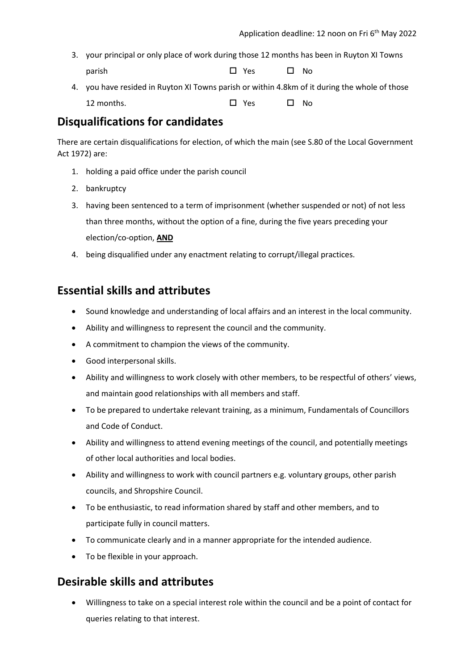- 3. your principal or only place of work during those 12 months has been in Ruyton XI Towns parish Yes  $\Box$  Yes  $\Box$  No
- 4. you have resided in Ruyton XI Towns parish or within 4.8km of it during the whole of those 12 months. Yes  $\Box$  Yes  $\Box$  No.

# **Disqualifications for candidates**

There are certain disqualifications for election, of which the main (see S.80 of the Local Government Act 1972) are:

- 1. holding a paid office under the parish council
- 2. bankruptcy
- 3. having been sentenced to a term of imprisonment (whether suspended or not) of not less than three months, without the option of a fine, during the five years preceding your election/co-option, **AND**
- 4. being disqualified under any enactment relating to corrupt/illegal practices.

# **Essential skills and attributes**

- Sound knowledge and understanding of local affairs and an interest in the local community.
- Ability and willingness to represent the council and the community.
- A commitment to champion the views of the community.
- Good interpersonal skills.
- Ability and willingness to work closely with other members, to be respectful of others' views, and maintain good relationships with all members and staff.
- To be prepared to undertake relevant training, as a minimum, Fundamentals of Councillors and Code of Conduct.
- Ability and willingness to attend evening meetings of the council, and potentially meetings of other local authorities and local bodies.
- Ability and willingness to work with council partners e.g. voluntary groups, other parish councils, and Shropshire Council.
- To be enthusiastic, to read information shared by staff and other members, and to participate fully in council matters.
- To communicate clearly and in a manner appropriate for the intended audience.
- To be flexible in your approach.

# **Desirable skills and attributes**

• Willingness to take on a special interest role within the council and be a point of contact for queries relating to that interest.